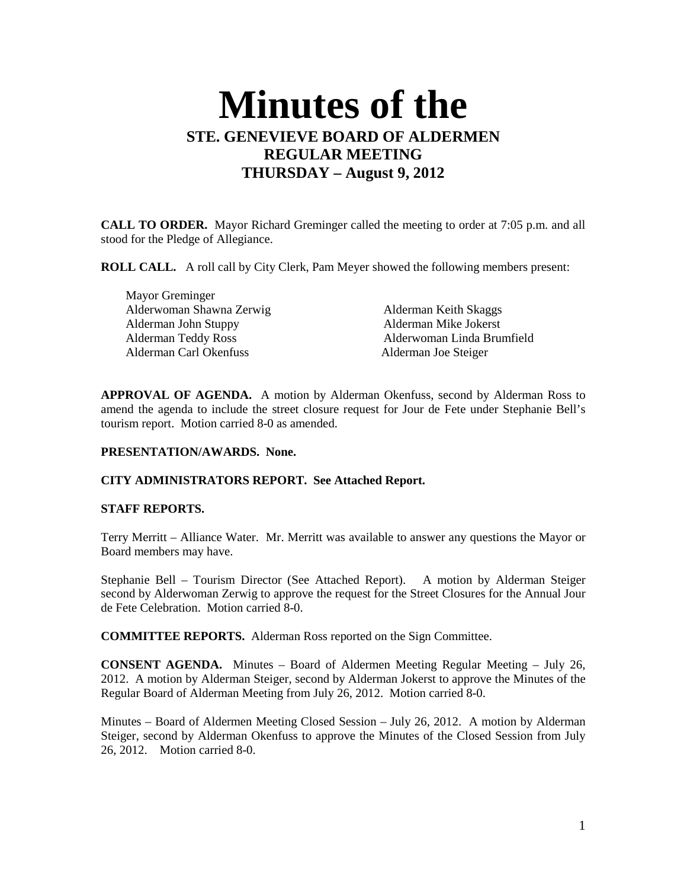# **Minutes of the STE. GENEVIEVE BOARD OF ALDERMEN REGULAR MEETING THURSDAY – August 9, 2012**

**CALL TO ORDER.** Mayor Richard Greminger called the meeting to order at 7:05 p.m. and all stood for the Pledge of Allegiance.

**ROLL CALL.** A roll call by City Clerk, Pam Meyer showed the following members present:

 Mayor Greminger Alderwoman Shawna Zerwig Alderman Keith Skaggs Alderman John Stuppy Alderman Mike Jokerst Alderman Carl Okenfuss Alderman Joe Steiger

Alderman Teddy Ross Alderwoman Linda Brumfield

**APPROVAL OF AGENDA.** A motion by Alderman Okenfuss, second by Alderman Ross to amend the agenda to include the street closure request for Jour de Fete under Stephanie Bell's tourism report. Motion carried 8-0 as amended.

## **PRESENTATION/AWARDS. None.**

## **CITY ADMINISTRATORS REPORT. See Attached Report.**

#### **STAFF REPORTS.**

Terry Merritt – Alliance Water. Mr. Merritt was available to answer any questions the Mayor or Board members may have.

Stephanie Bell – Tourism Director (See Attached Report). A motion by Alderman Steiger second by Alderwoman Zerwig to approve the request for the Street Closures for the Annual Jour de Fete Celebration. Motion carried 8-0.

**COMMITTEE REPORTS.** Alderman Ross reported on the Sign Committee.

**CONSENT AGENDA.** Minutes – Board of Aldermen Meeting Regular Meeting – July 26, 2012. A motion by Alderman Steiger, second by Alderman Jokerst to approve the Minutes of the Regular Board of Alderman Meeting from July 26, 2012. Motion carried 8-0.

Minutes – Board of Aldermen Meeting Closed Session – July 26, 2012. A motion by Alderman Steiger, second by Alderman Okenfuss to approve the Minutes of the Closed Session from July 26, 2012. Motion carried 8-0.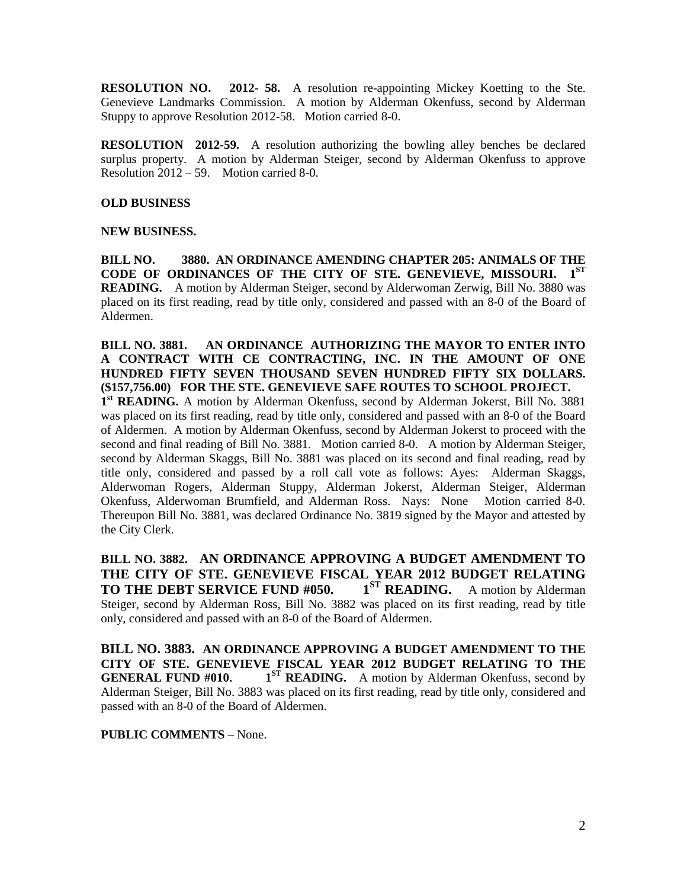**RESOLUTION NO. 2012- 58.** A resolution re-appointing Mickey Koetting to the Ste. Genevieve Landmarks Commission. A motion by Alderman Okenfuss, second by Alderman Stuppy to approve Resolution 2012-58. Motion carried 8-0.

**RESOLUTION 2012-59.** A resolution authorizing the bowling alley benches be declared surplus property. A motion by Alderman Steiger, second by Alderman Okenfuss to approve Resolution 2012 – 59. Motion carried 8-0.

#### **OLD BUSINESS**

#### **NEW BUSINESS.**

**BILL NO. 3880. AN ORDINANCE AMENDING CHAPTER 205: ANIMALS OF THE CODE OF ORDINANCES OF THE CITY OF STE. GENEVIEVE, MISSOURI. 1ST READING.** A motion by Alderman Steiger, second by Alderwoman Zerwig, Bill No. 3880 was placed on its first reading, read by title only, considered and passed with an 8-0 of the Board of Aldermen.

**BILL NO. 3881. AN ORDINANCE AUTHORIZING THE MAYOR TO ENTER INTO A CONTRACT WITH CE CONTRACTING, INC. IN THE AMOUNT OF ONE HUNDRED FIFTY SEVEN THOUSAND SEVEN HUNDRED FIFTY SIX DOLLARS. (\$157,756.00) FOR THE STE. GENEVIEVE SAFE ROUTES TO SCHOOL PROJECT.** 

1<sup>st</sup> READING. A motion by Alderman Okenfuss, second by Alderman Jokerst, Bill No. 3881 was placed on its first reading, read by title only, considered and passed with an 8-0 of the Board of Aldermen. A motion by Alderman Okenfuss, second by Alderman Jokerst to proceed with the second and final reading of Bill No. 3881. Motion carried 8-0. A motion by Alderman Steiger, second by Alderman Skaggs, Bill No. 3881 was placed on its second and final reading, read by title only, considered and passed by a roll call vote as follows: Ayes: Alderman Skaggs, Alderwoman Rogers, Alderman Stuppy, Alderman Jokerst, Alderman Steiger, Alderman Okenfuss, Alderwoman Brumfield, and Alderman Ross. Nays: None Motion carried 8-0. Thereupon Bill No. 3881, was declared Ordinance No. 3819 signed by the Mayor and attested by the City Clerk.

**BILL NO. 3882. AN ORDINANCE APPROVING A BUDGET AMENDMENT TO THE CITY OF STE. GENEVIEVE FISCAL YEAR 2012 BUDGET RELATING TO THE DEBT SERVICE FUND #050. 1**<sup>ST</sup> **READING.** A motion by Alderman Steiger, second by Alderman Ross, Bill No. 3882 was placed on its first reading, read by title only, considered and passed with an 8-0 of the Board of Aldermen.

**BILL NO. 3883. AN ORDINANCE APPROVING A BUDGET AMENDMENT TO THE CITY OF STE. GENEVIEVE FISCAL YEAR 2012 BUDGET RELATING TO THE GENERAL FUND #010.** 1<sup>ST</sup> **READING.** A motion by Alderman Okenfuss, second by Alderman Steiger, Bill No. 3883 was placed on its first reading, read by title only, considered and passed with an 8-0 of the Board of Aldermen.

#### **PUBLIC COMMENTS** – None.